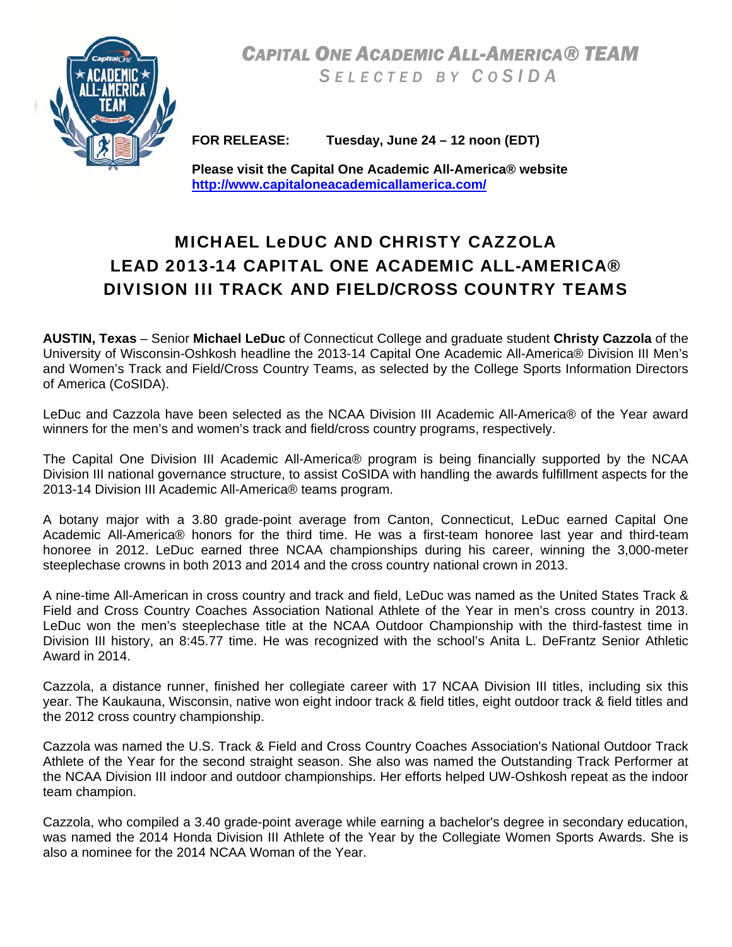*CAPITAL ONE ACADEMIC ALL-AMERICA® TEAM S ELECTED BY C O SIDA* 



**FOR RELEASE: Tuesday, June 24 – 12 noon (EDT)** 

**Please visit the Capital One Academic All-America® website http://www.capitaloneacademicallamerica.com/**

# MICHAEL LeDUC AND CHRISTY CAZZOLA LEAD 2013-14 CAPITAL ONE ACADEMIC ALL-AMERICA® DIVISION III TRACK AND FIELD/CROSS COUNTRY TEAMS

**AUSTIN, Texas** – Senior **Michael LeDuc** of Connecticut College and graduate student **Christy Cazzola** of the University of Wisconsin-Oshkosh headline the 2013-14 Capital One Academic All-America® Division III Men's and Women's Track and Field/Cross Country Teams, as selected by the College Sports Information Directors of America (CoSIDA).

LeDuc and Cazzola have been selected as the NCAA Division III Academic All-America® of the Year award winners for the men's and women's track and field/cross country programs, respectively.

The Capital One Division III Academic All-America® program is being financially supported by the NCAA Division III national governance structure, to assist CoSIDA with handling the awards fulfillment aspects for the 2013-14 Division III Academic All-America® teams program.

A botany major with a 3.80 grade-point average from Canton, Connecticut, LeDuc earned Capital One Academic All-America® honors for the third time. He was a first-team honoree last year and third-team honoree in 2012. LeDuc earned three NCAA championships during his career, winning the 3,000-meter steeplechase crowns in both 2013 and 2014 and the cross country national crown in 2013.

A nine-time All-American in cross country and track and field, LeDuc was named as the United States Track & Field and Cross Country Coaches Association National Athlete of the Year in men's cross country in 2013. LeDuc won the men's steeplechase title at the NCAA Outdoor Championship with the third-fastest time in Division III history, an 8:45.77 time. He was recognized with the school's Anita L. DeFrantz Senior Athletic Award in 2014.

Cazzola, a distance runner, finished her collegiate career with 17 NCAA Division III titles, including six this year. The Kaukauna, Wisconsin, native won eight indoor track & field titles, eight outdoor track & field titles and the 2012 cross country championship.

Cazzola was named the U.S. Track & Field and Cross Country Coaches Association's National Outdoor Track Athlete of the Year for the second straight season. She also was named the Outstanding Track Performer at the NCAA Division III indoor and outdoor championships. Her efforts helped UW-Oshkosh repeat as the indoor team champion.

Cazzola, who compiled a 3.40 grade-point average while earning a bachelor's degree in secondary education, was named the 2014 Honda Division III Athlete of the Year by the Collegiate Women Sports Awards. She is also a nominee for the 2014 NCAA Woman of the Year.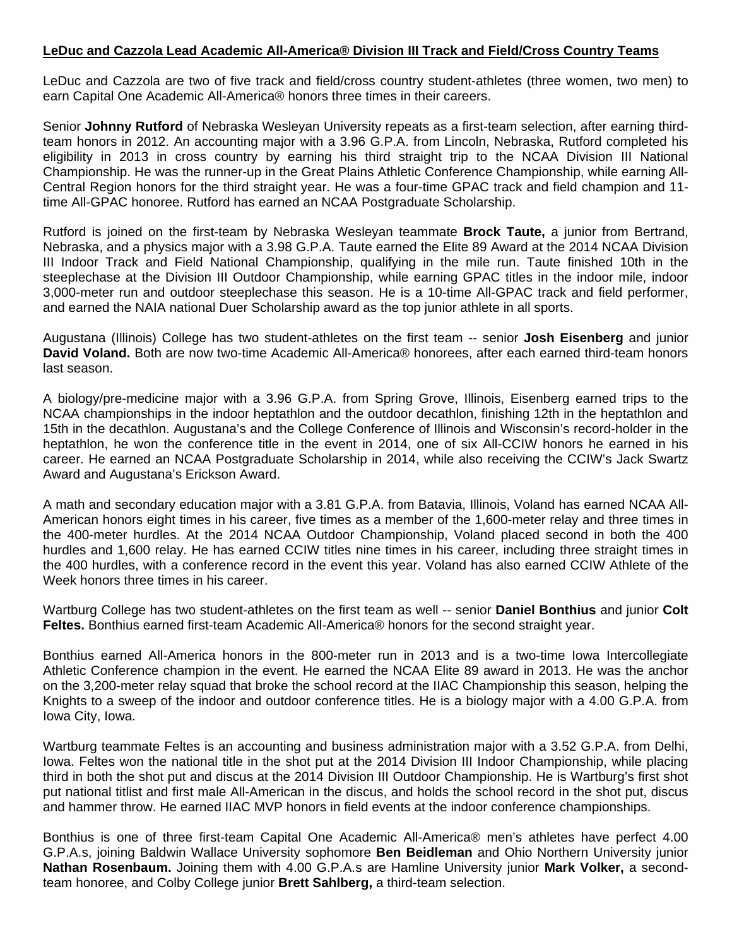LeDuc and Cazzola are two of five track and field/cross country student-athletes (three women, two men) to earn Capital One Academic All-America® honors three times in their careers.

Senior **Johnny Rutford** of Nebraska Wesleyan University repeats as a first-team selection, after earning thirdteam honors in 2012. An accounting major with a 3.96 G.P.A. from Lincoln, Nebraska, Rutford completed his eligibility in 2013 in cross country by earning his third straight trip to the NCAA Division III National Championship. He was the runner-up in the Great Plains Athletic Conference Championship, while earning All-Central Region honors for the third straight year. He was a four-time GPAC track and field champion and 11 time All-GPAC honoree. Rutford has earned an NCAA Postgraduate Scholarship.

Rutford is joined on the first-team by Nebraska Wesleyan teammate **Brock Taute,** a junior from Bertrand, Nebraska, and a physics major with a 3.98 G.P.A. Taute earned the Elite 89 Award at the 2014 NCAA Division III Indoor Track and Field National Championship, qualifying in the mile run. Taute finished 10th in the steeplechase at the Division III Outdoor Championship, while earning GPAC titles in the indoor mile, indoor 3,000-meter run and outdoor steeplechase this season. He is a 10-time All-GPAC track and field performer, and earned the NAIA national Duer Scholarship award as the top junior athlete in all sports.

Augustana (Illinois) College has two student-athletes on the first team -- senior **Josh Eisenberg** and junior **David Voland.** Both are now two-time Academic All-America® honorees, after each earned third-team honors last season.

A biology/pre-medicine major with a 3.96 G.P.A. from Spring Grove, Illinois, Eisenberg earned trips to the NCAA championships in the indoor heptathlon and the outdoor decathlon, finishing 12th in the heptathlon and 15th in the decathlon. Augustana's and the College Conference of Illinois and Wisconsin's record-holder in the heptathlon, he won the conference title in the event in 2014, one of six All-CCIW honors he earned in his career. He earned an NCAA Postgraduate Scholarship in 2014, while also receiving the CCIW's Jack Swartz Award and Augustana's Erickson Award.

A math and secondary education major with a 3.81 G.P.A. from Batavia, Illinois, Voland has earned NCAA All-American honors eight times in his career, five times as a member of the 1,600-meter relay and three times in the 400-meter hurdles. At the 2014 NCAA Outdoor Championship, Voland placed second in both the 400 hurdles and 1,600 relay. He has earned CCIW titles nine times in his career, including three straight times in the 400 hurdles, with a conference record in the event this year. Voland has also earned CCIW Athlete of the Week honors three times in his career.

Wartburg College has two student-athletes on the first team as well -- senior **Daniel Bonthius** and junior **Colt Feltes.** Bonthius earned first-team Academic All-America® honors for the second straight year.

Bonthius earned All-America honors in the 800-meter run in 2013 and is a two-time Iowa Intercollegiate Athletic Conference champion in the event. He earned the NCAA Elite 89 award in 2013. He was the anchor on the 3,200-meter relay squad that broke the school record at the IIAC Championship this season, helping the Knights to a sweep of the indoor and outdoor conference titles. He is a biology major with a 4.00 G.P.A. from Iowa City, Iowa.

Wartburg teammate Feltes is an accounting and business administration major with a 3.52 G.P.A. from Delhi, Iowa. Feltes won the national title in the shot put at the 2014 Division III Indoor Championship, while placing third in both the shot put and discus at the 2014 Division III Outdoor Championship. He is Wartburg's first shot put national titlist and first male All-American in the discus, and holds the school record in the shot put, discus and hammer throw. He earned IIAC MVP honors in field events at the indoor conference championships.

Bonthius is one of three first-team Capital One Academic All-America® men's athletes have perfect 4.00 G.P.A.s, joining Baldwin Wallace University sophomore **Ben Beidleman** and Ohio Northern University junior **Nathan Rosenbaum.** Joining them with 4.00 G.P.A.s are Hamline University junior **Mark Volker,** a secondteam honoree, and Colby College junior **Brett Sahlberg,** a third-team selection.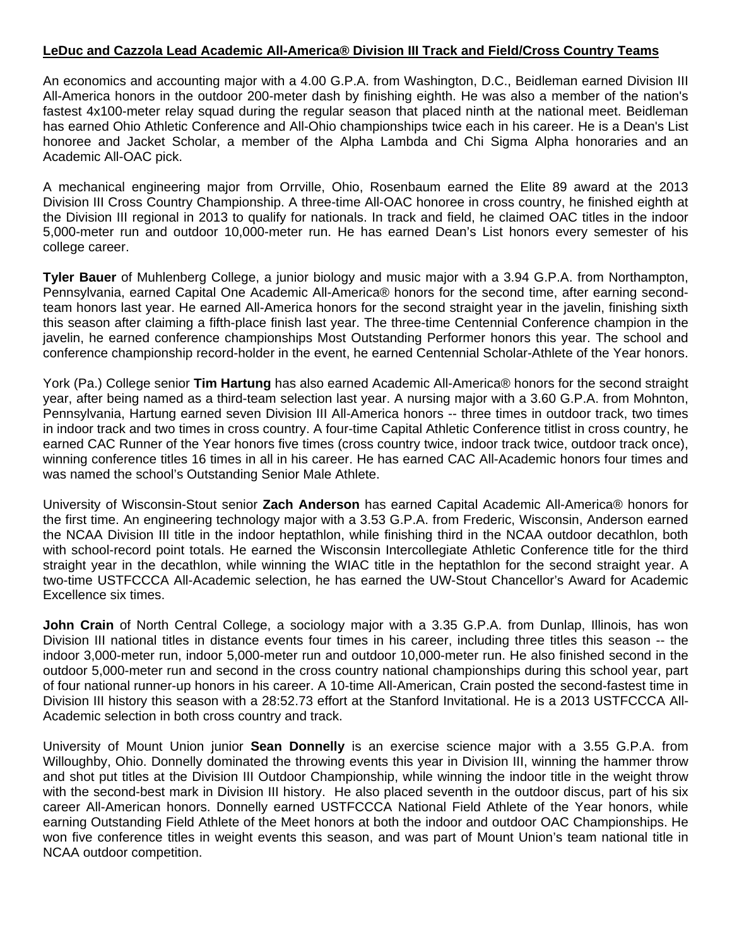An economics and accounting major with a 4.00 G.P.A. from Washington, D.C., Beidleman earned Division III All-America honors in the outdoor 200-meter dash by finishing eighth. He was also a member of the nation's fastest 4x100-meter relay squad during the regular season that placed ninth at the national meet. Beidleman has earned Ohio Athletic Conference and All-Ohio championships twice each in his career. He is a Dean's List honoree and Jacket Scholar, a member of the Alpha Lambda and Chi Sigma Alpha honoraries and an Academic All-OAC pick.

A mechanical engineering major from Orrville, Ohio, Rosenbaum earned the Elite 89 award at the 2013 Division III Cross Country Championship. A three-time All-OAC honoree in cross country, he finished eighth at the Division III regional in 2013 to qualify for nationals. In track and field, he claimed OAC titles in the indoor 5,000-meter run and outdoor 10,000-meter run. He has earned Dean's List honors every semester of his college career.

**Tyler Bauer** of Muhlenberg College, a junior biology and music major with a 3.94 G.P.A. from Northampton, Pennsylvania, earned Capital One Academic All-America® honors for the second time, after earning secondteam honors last year. He earned All-America honors for the second straight year in the javelin, finishing sixth this season after claiming a fifth-place finish last year. The three-time Centennial Conference champion in the javelin, he earned conference championships Most Outstanding Performer honors this year. The school and conference championship record-holder in the event, he earned Centennial Scholar-Athlete of the Year honors.

York (Pa.) College senior **Tim Hartung** has also earned Academic All-America® honors for the second straight year, after being named as a third-team selection last year. A nursing major with a 3.60 G.P.A. from Mohnton, Pennsylvania, Hartung earned seven Division III All-America honors -- three times in outdoor track, two times in indoor track and two times in cross country. A four-time Capital Athletic Conference titlist in cross country, he earned CAC Runner of the Year honors five times (cross country twice, indoor track twice, outdoor track once), winning conference titles 16 times in all in his career. He has earned CAC All-Academic honors four times and was named the school's Outstanding Senior Male Athlete.

University of Wisconsin-Stout senior **Zach Anderson** has earned Capital Academic All-America® honors for the first time. An engineering technology major with a 3.53 G.P.A. from Frederic, Wisconsin, Anderson earned the NCAA Division III title in the indoor heptathlon, while finishing third in the NCAA outdoor decathlon, both with school-record point totals. He earned the Wisconsin Intercollegiate Athletic Conference title for the third straight year in the decathlon, while winning the WIAC title in the heptathlon for the second straight year. A two-time USTFCCCA All-Academic selection, he has earned the UW-Stout Chancellor's Award for Academic Excellence six times.

John Crain of North Central College, a sociology major with a 3.35 G.P.A. from Dunlap, Illinois, has won Division III national titles in distance events four times in his career, including three titles this season -- the indoor 3,000-meter run, indoor 5,000-meter run and outdoor 10,000-meter run. He also finished second in the outdoor 5,000-meter run and second in the cross country national championships during this school year, part of four national runner-up honors in his career. A 10-time All-American, Crain posted the second-fastest time in Division III history this season with a 28:52.73 effort at the Stanford Invitational. He is a 2013 USTFCCCA All-Academic selection in both cross country and track.

University of Mount Union junior **Sean Donnelly** is an exercise science major with a 3.55 G.P.A. from Willoughby, Ohio. Donnelly dominated the throwing events this year in Division III, winning the hammer throw and shot put titles at the Division III Outdoor Championship, while winning the indoor title in the weight throw with the second-best mark in Division III history. He also placed seventh in the outdoor discus, part of his six career All-American honors. Donnelly earned USTFCCCA National Field Athlete of the Year honors, while earning Outstanding Field Athlete of the Meet honors at both the indoor and outdoor OAC Championships. He won five conference titles in weight events this season, and was part of Mount Union's team national title in NCAA outdoor competition.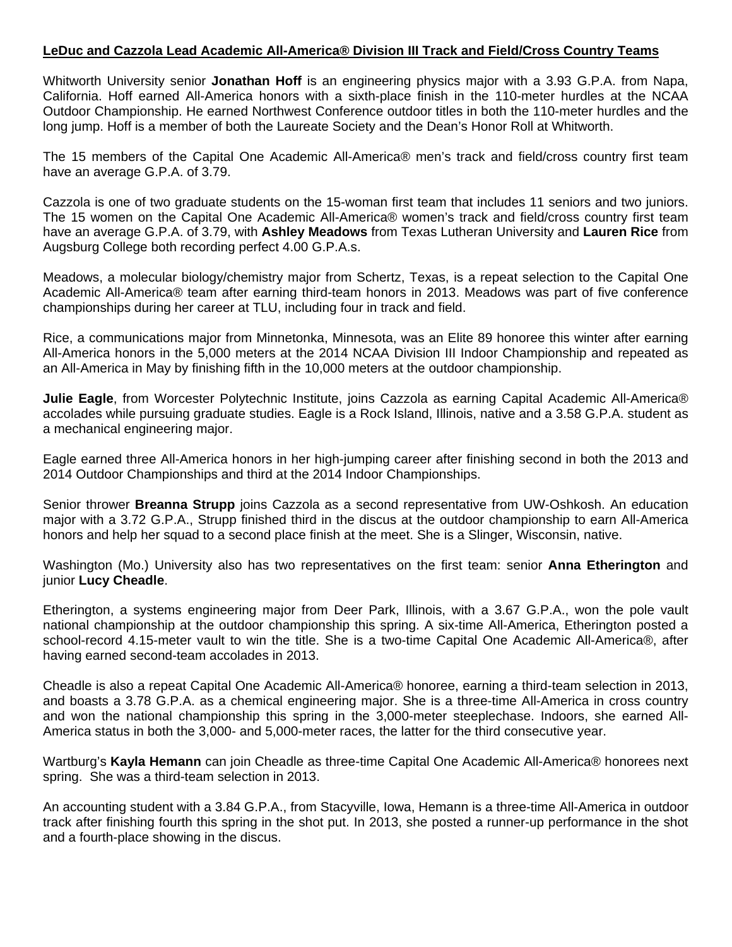Whitworth University senior **Jonathan Hoff** is an engineering physics major with a 3.93 G.P.A. from Napa, California. Hoff earned All-America honors with a sixth-place finish in the 110-meter hurdles at the NCAA Outdoor Championship. He earned Northwest Conference outdoor titles in both the 110-meter hurdles and the long jump. Hoff is a member of both the Laureate Society and the Dean's Honor Roll at Whitworth.

The 15 members of the Capital One Academic All-America® men's track and field/cross country first team have an average G.P.A. of 3.79.

Cazzola is one of two graduate students on the 15-woman first team that includes 11 seniors and two juniors. The 15 women on the Capital One Academic All-America® women's track and field/cross country first team have an average G.P.A. of 3.79, with **Ashley Meadows** from Texas Lutheran University and **Lauren Rice** from Augsburg College both recording perfect 4.00 G.P.A.s.

Meadows, a molecular biology/chemistry major from Schertz, Texas, is a repeat selection to the Capital One Academic All-America® team after earning third-team honors in 2013. Meadows was part of five conference championships during her career at TLU, including four in track and field.

Rice, a communications major from Minnetonka, Minnesota, was an Elite 89 honoree this winter after earning All-America honors in the 5,000 meters at the 2014 NCAA Division III Indoor Championship and repeated as an All-America in May by finishing fifth in the 10,000 meters at the outdoor championship.

**Julie Eagle**, from Worcester Polytechnic Institute, joins Cazzola as earning Capital Academic All-America® accolades while pursuing graduate studies. Eagle is a Rock Island, Illinois, native and a 3.58 G.P.A. student as a mechanical engineering major.

Eagle earned three All-America honors in her high-jumping career after finishing second in both the 2013 and 2014 Outdoor Championships and third at the 2014 Indoor Championships.

Senior thrower **Breanna Strupp** joins Cazzola as a second representative from UW-Oshkosh. An education major with a 3.72 G.P.A., Strupp finished third in the discus at the outdoor championship to earn All-America honors and help her squad to a second place finish at the meet. She is a Slinger, Wisconsin, native.

Washington (Mo.) University also has two representatives on the first team: senior **Anna Etherington** and junior **Lucy Cheadle**.

Etherington, a systems engineering major from Deer Park, Illinois, with a 3.67 G.P.A., won the pole vault national championship at the outdoor championship this spring. A six-time All-America, Etherington posted a school-record 4.15-meter vault to win the title. She is a two-time Capital One Academic All-America®, after having earned second-team accolades in 2013.

Cheadle is also a repeat Capital One Academic All-America® honoree, earning a third-team selection in 2013, and boasts a 3.78 G.P.A. as a chemical engineering major. She is a three-time All-America in cross country and won the national championship this spring in the 3,000-meter steeplechase. Indoors, she earned All-America status in both the 3,000- and 5,000-meter races, the latter for the third consecutive year.

Wartburg's **Kayla Hemann** can join Cheadle as three-time Capital One Academic All-America® honorees next spring. She was a third-team selection in 2013.

An accounting student with a 3.84 G.P.A., from Stacyville, Iowa, Hemann is a three-time All-America in outdoor track after finishing fourth this spring in the shot put. In 2013, she posted a runner-up performance in the shot and a fourth-place showing in the discus.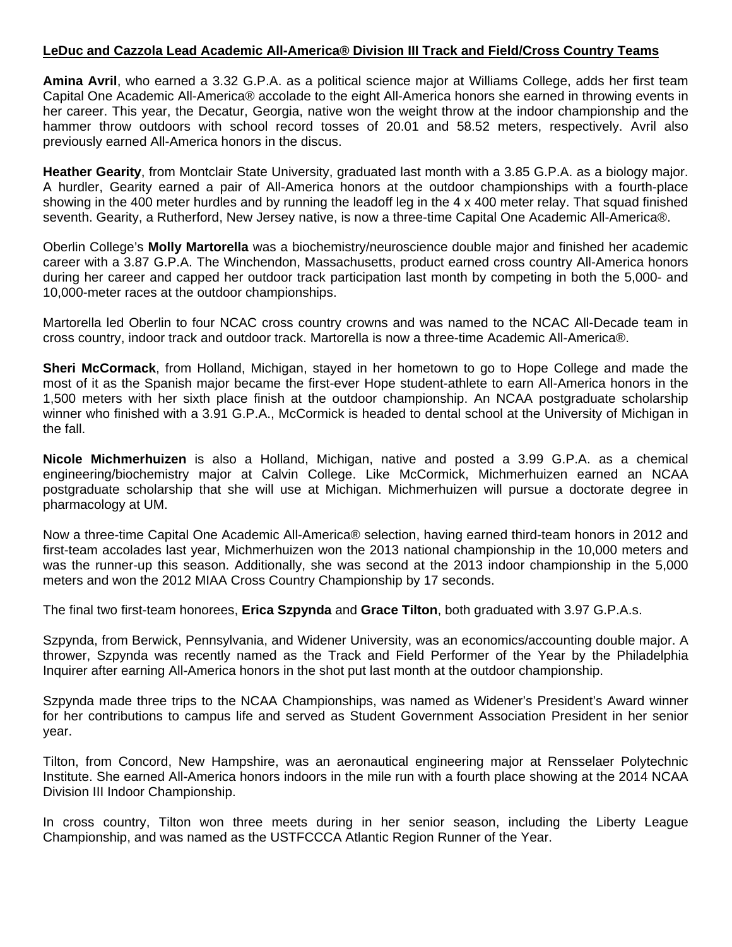**Amina Avril**, who earned a 3.32 G.P.A. as a political science major at Williams College, adds her first team Capital One Academic All-America® accolade to the eight All-America honors she earned in throwing events in her career. This year, the Decatur, Georgia, native won the weight throw at the indoor championship and the hammer throw outdoors with school record tosses of 20.01 and 58.52 meters, respectively. Avril also previously earned All-America honors in the discus.

**Heather Gearity**, from Montclair State University, graduated last month with a 3.85 G.P.A. as a biology major. A hurdler, Gearity earned a pair of All-America honors at the outdoor championships with a fourth-place showing in the 400 meter hurdles and by running the leadoff leg in the 4 x 400 meter relay. That squad finished seventh. Gearity, a Rutherford, New Jersey native, is now a three-time Capital One Academic All-America®.

Oberlin College's **Molly Martorella** was a biochemistry/neuroscience double major and finished her academic career with a 3.87 G.P.A. The Winchendon, Massachusetts, product earned cross country All-America honors during her career and capped her outdoor track participation last month by competing in both the 5,000- and 10,000-meter races at the outdoor championships.

Martorella led Oberlin to four NCAC cross country crowns and was named to the NCAC All-Decade team in cross country, indoor track and outdoor track. Martorella is now a three-time Academic All-America®.

**Sheri McCormack**, from Holland, Michigan, stayed in her hometown to go to Hope College and made the most of it as the Spanish major became the first-ever Hope student-athlete to earn All-America honors in the 1,500 meters with her sixth place finish at the outdoor championship. An NCAA postgraduate scholarship winner who finished with a 3.91 G.P.A., McCormick is headed to dental school at the University of Michigan in the fall.

**Nicole Michmerhuizen** is also a Holland, Michigan, native and posted a 3.99 G.P.A. as a chemical engineering/biochemistry major at Calvin College. Like McCormick, Michmerhuizen earned an NCAA postgraduate scholarship that she will use at Michigan. Michmerhuizen will pursue a doctorate degree in pharmacology at UM.

Now a three-time Capital One Academic All-America® selection, having earned third-team honors in 2012 and first-team accolades last year, Michmerhuizen won the 2013 national championship in the 10,000 meters and was the runner-up this season. Additionally, she was second at the 2013 indoor championship in the 5,000 meters and won the 2012 MIAA Cross Country Championship by 17 seconds.

The final two first-team honorees, **Erica Szpynda** and **Grace Tilton**, both graduated with 3.97 G.P.A.s.

Szpynda, from Berwick, Pennsylvania, and Widener University, was an economics/accounting double major. A thrower, Szpynda was recently named as the Track and Field Performer of the Year by the Philadelphia Inquirer after earning All-America honors in the shot put last month at the outdoor championship.

Szpynda made three trips to the NCAA Championships, was named as Widener's President's Award winner for her contributions to campus life and served as Student Government Association President in her senior year.

Tilton, from Concord, New Hampshire, was an aeronautical engineering major at Rensselaer Polytechnic Institute. She earned All-America honors indoors in the mile run with a fourth place showing at the 2014 NCAA Division III Indoor Championship.

In cross country, Tilton won three meets during in her senior season, including the Liberty League Championship, and was named as the USTFCCCA Atlantic Region Runner of the Year.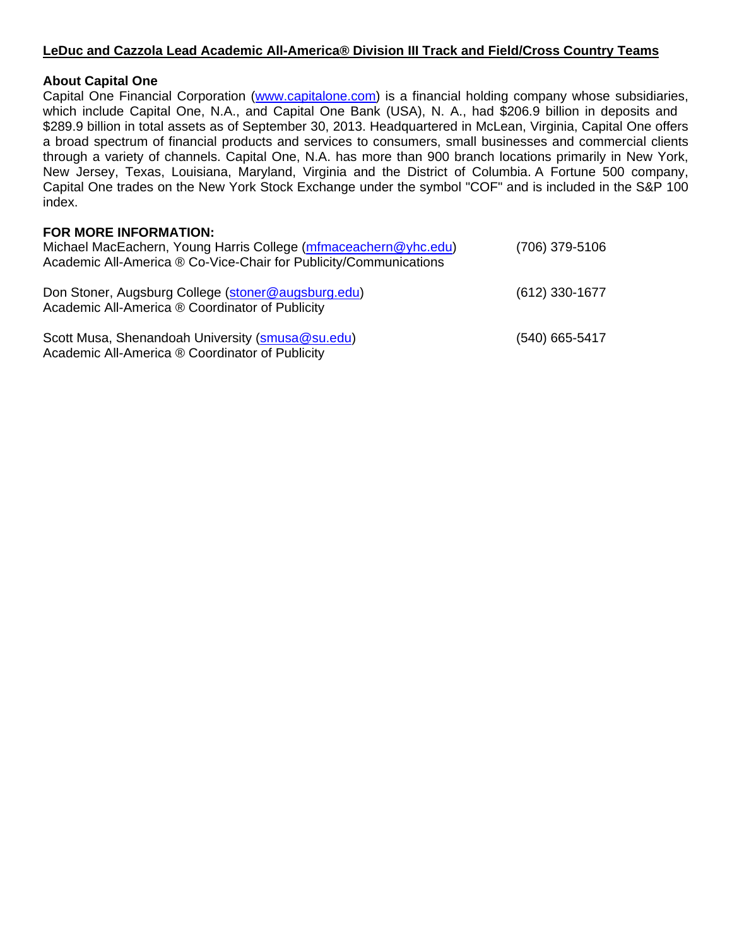## **About Capital One**

Capital One Financial Corporation (www.capitalone.com) is a financial holding company whose subsidiaries, which include Capital One, N.A., and Capital One Bank (USA), N. A., had \$206.9 billion in deposits and \$289.9 billion in total assets as of September 30, 2013. Headquartered in McLean, Virginia, Capital One offers a broad spectrum of financial products and services to consumers, small businesses and commercial clients through a variety of channels. Capital One, N.A. has more than 900 branch locations primarily in New York, New Jersey, Texas, Louisiana, Maryland, Virginia and the District of Columbia. A Fortune 500 company, Capital One trades on the New York Stock Exchange under the symbol "COF" and is included in the S&P 100 index.

# **FOR MORE INFORMATION:**

| Michael MacEachern, Young Harris College (mfmaceachern@yhc.edu)<br>Academic All-America ® Co-Vice-Chair for Publicity/Communications | (706) 379-5106   |
|--------------------------------------------------------------------------------------------------------------------------------------|------------------|
| Don Stoner, Augsburg College (stoner@augsburg.edu)<br>Academic All-America ® Coordinator of Publicity                                | $(612)$ 330-1677 |
| Scott Musa, Shenandoah University (smusa@su.edu)<br>Academic All-America ® Coordinator of Publicity                                  | (540) 665-5417   |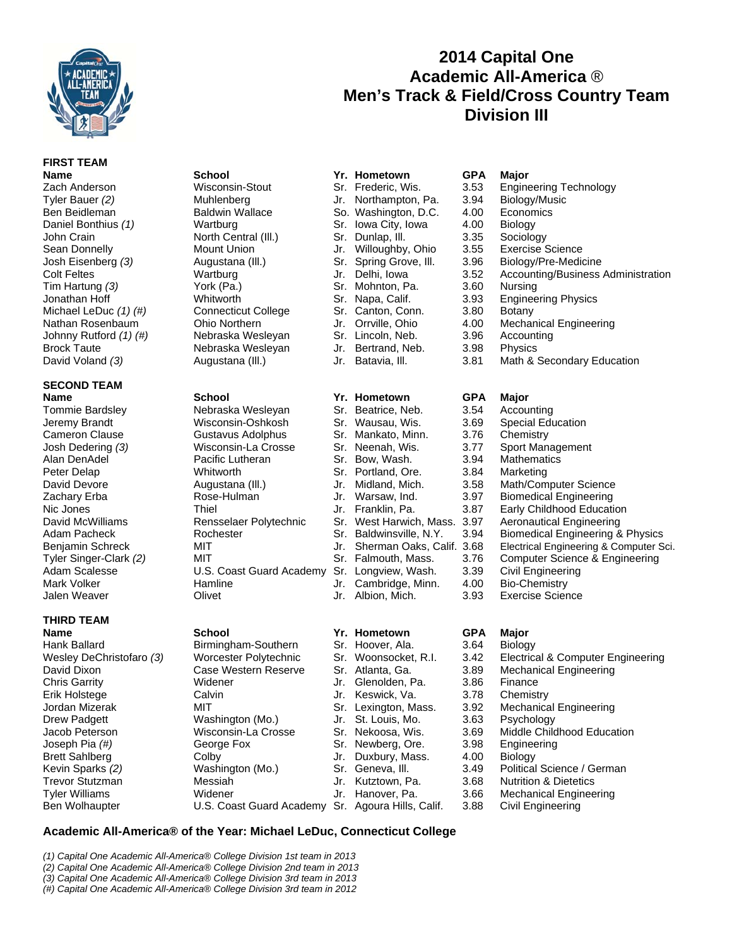

**FIRST TEAM** 

## **SECOND TEAM Name School Yr. Hometown GPA Major**

# **THIRD TEAM**

| Wisconsin-Stout            |
|----------------------------|
| Muhlenberg                 |
| <b>Baldwin Wallace</b>     |
| Wartburg                   |
| North Central (III.)       |
| <b>Mount Union</b>         |
| Augustana (III.)           |
| Wartburg                   |
| York (Pa.)                 |
| Whitworth                  |
| <b>Connecticut College</b> |
| <b>Ohio Northern</b>       |
| Nebraska Wesleyan          |
| Nebraska Wesleyan          |
| Augustana (III.)           |

| Tommie Bardsley        | Nebraska Wesleyan        |     | Sr. Beatrice, Neb.        | 3.54 | Accounting                   |
|------------------------|--------------------------|-----|---------------------------|------|------------------------------|
| Jeremy Brandt          | Wisconsin-Oshkosh        |     | Sr. Wausau, Wis.          | 3.69 | <b>Special Education</b>     |
| <b>Cameron Clause</b>  | Gustavus Adolphus        |     | Sr. Mankato, Minn.        | 3.76 | Chemistry                    |
| Josh Dedering (3)      | Wisconsin-La Crosse      |     | Sr. Neenah. Wis.          | 3.77 | Sport Management             |
| Alan DenAdel           | Pacific Lutheran         | Sr. | Bow, Wash.                | 3.94 | <b>Mathematics</b>           |
| Peter Delap            | Whitworth                |     | Sr. Portland, Ore.        | 3.84 | Marketing                    |
| David Devore           | Augustana (III.)         | Jr. | Midland, Mich.            | 3.58 | Math/Computer Sci            |
| Zachary Erba           | Rose-Hulman              |     | Jr. Warsaw, Ind.          | 3.97 | <b>Biomedical Enginee</b>    |
| Nic Jones              | Thiel                    |     | Jr. Franklin. Pa.         | 3.87 | Early Childhood Ed           |
| David McWilliams       | Rensselaer Polytechnic   |     | Sr. West Harwich, Mass.   | 3.97 | <b>Aeronautical Engine</b>   |
| Adam Pacheck           | Rochester                |     | Sr. Baldwinsville, N.Y.   | 3.94 | <b>Biomedical Enginee</b>    |
| Benjamin Schreck       | MIT                      | Jr. | Sherman Oaks, Calif. 3.68 |      | <b>Electrical Engineerin</b> |
| Tyler Singer-Clark (2) | MIT                      |     | Sr. Falmouth, Mass.       | 3.76 | Computer Science             |
| Adam Scalesse          | U.S. Coast Guard Academy |     | Sr. Longview, Wash.       | 3.39 | Civil Engineering            |
| Mark Volker            | Hamline                  |     | Jr. Cambridge, Minn.      | 4.00 | Bio-Chemistry                |
| Jolan <i>Maguer</i>    | $\bigcap_{i=1}^{n}$      |     | Ir Albian Mich            | מ מ  | Everoice Coionne             |

David Dixon Case Western Reserve Sr. Atlanta, Ga. 3.89 Mechanical Engineering Chris Garrity Widener Jr. Glenolden, Pa. 3.86 Finance Erik Holstege Calvin Jr. Keswick, Va. 3.78 Chemistry Jordan Mizerak **MIT** MIT Sr. Lexington, Mass. 3.92 Mechanical Engineering Drew Padgett Washington (Mo.) Jr. St. Louis, Mo. 3.63 Psychology Jacob Peterson Wisconsin-La Crosse Sr. Nekoosa, Wis. 3.69 Middle Childhood Education Joseph Pia (#) **George Fox** Sr. Newberg, Ore. 3.98 Engineering Brett Sahlberg **Colby** Colby Jr. Duxbury, Mass. 4.00 Biology Kevin Sparks (2) Washington (Mo.) Sr. Geneva, III. 3.49 Political Science / German Trevor Stutzman Messiah Jr. Kutztown, Pa. 3.68 Nutrition & Dietetics Tyler Williams Widener Jr. Hanover, Pa. 3.66 Mechanical Engineering Ben Wolhaupter U.S. Coast Guard Academy Sr. Agoura Hills, Calif. 3.88 Civil Engineering

| <b>Name</b>               | <b>School</b>              | Yr. Hometown           | <b>GPA</b> | <b>Major</b>                  |
|---------------------------|----------------------------|------------------------|------------|-------------------------------|
| Zach Anderson             | Wisconsin-Stout            | Sr. Frederic, Wis.     | 3.53       | Engineering Technology        |
| Tyler Bauer (2)           | Muhlenberg                 | Jr. Northampton, Pa.   | 3.94       | Biology/Music                 |
| Ben Beidleman             | <b>Baldwin Wallace</b>     | So. Washington, D.C.   | 4.00       | Economics                     |
| Daniel Bonthius (1)       | Wartburg                   | Sr. Iowa City, Iowa    | 4.00       | <b>Biology</b>                |
| John Crain                | North Central (III.)       | Sr. Dunlap, III.       | 3.35       | Sociology                     |
| Sean Donnelly             | Mount Union                | Jr. Willoughby, Ohio   | 3.55       | Exercise Science              |
| Josh Eisenberg (3)        | Augustana (III.)           | Sr. Spring Grove, Ill. | 3.96       | Biology/Pre-Medicine          |
| <b>Colt Feltes</b>        | Wartburg                   | Jr. Delhi, Iowa        | 3.52       | Accounting/Business Ac        |
| Tim Hartung (3)           | York (Pa.)                 | Sr. Mohnton, Pa.       | 3.60       | Nursing                       |
| Jonathan Hoff             | Whitworth                  | Sr. Napa, Calif.       | 3.93       | <b>Engineering Physics</b>    |
| Michael LeDuc $(1)$ $(#)$ | <b>Connecticut College</b> | Sr. Canton, Conn.      | 3.80       | Botany                        |
| Nathan Rosenbaum          | Ohio Northern              | Jr. Orrville, Ohio     | 4.00       | <b>Mechanical Engineering</b> |
| Johnny Rutford (1) (#)    | Nebraska Wesleyan          | Sr. Lincoln, Neb.      | 3.96       | Accounting                    |
| <b>Brock Taute</b>        | Nebraska Wesleyan          | Jr. Bertrand, Neb.     | 3.98       | <b>Physics</b>                |
| David Voland (3)          | Augustana (III.)           | Jr. Batavia, III.      | 3.81       | Math & Secondary Educ         |
| <b>CECONID TEAM</b>       |                            |                        |            |                               |

- 
- - -
	-
- **Name School School Yr. Hometown GPA Major<br>
Hank Ballard Birmingham-Southern Sr. Hoover, Ala.** 3.64 Biolog Hank Ballard Birmingham-Southern Sr. Hoover, Ala. 3.64 Biology
	-
	-
	-

# Zach Anderson Wisconsin-Stout Sr. Frederic, Wis. 3.53 Engineering Technology Josh Eisenberg *(3)* Augustana (Ill.) Sr. Spring Grove, Ill. 3.96 Biology/Pre-Medicine Colt Feltes Wartburg Jr. Delhi, Iowa 3.52 Accounting/Business Administration

- 
- 
- 
- 
- 

**2014 Capital One Academic All-America** ® **Men's Track & Field/Cross Country Team Division III**

- 
- David Voland (3) **Augustana (III.)** Jr. Batavia, III. 3.81 Math & Secondary Education

- David Devore **Augustana (III.)** Jr. Midland, Mich. 3.58 Math/Computer Science Zachary Erba Rose-Hulman Jr. Warsaw, Ind. 3.97 Biomedical Engineering Nic Jones Thiel Jr. Franklin, Pa. 3.87 Early Childhood Education Sr. West Harwich, Mass. 3.97 Aeronautical Engineering Adam Pacheck **Rochester Sr. Baldwinsville, N.Y.** 3.94 Biomedical Engineering & Physics Benjamin Schreck MIT MIT Jr. Sherman Oaks, Calif. 3.68 Electrical Engineering & Computer Sci. Tyler Singer-Clark (2) MIT ST. Falmouth, Mass. 3.76 Computer Science & Engineering
- Jalen Weaver Olivet Jr. Albion, Mich. 3.93 Exercise Science

- Wesley DeChristofaro (3) Worcester Polytechnic Sr. Woonsocket, R.I. 3.42 Electrical & Computer Engineering<br>David Dixon Case Western Reserve Sr. Atlanta. Ga. 3.89 Mechanical Engineering
	-

## **Academic All-America® of the Year: Michael LeDuc, Connecticut College**

*(1) Capital One Academic All-America® College Division 1st team in 2013* 

*(2) Capital One Academic All-America® College Division 2nd team in 2013* 

*(3) Capital One Academic All-America® College Division 3rd team in 2013 (#) Capital One Academic All-America® College Division 3rd team in 2012*